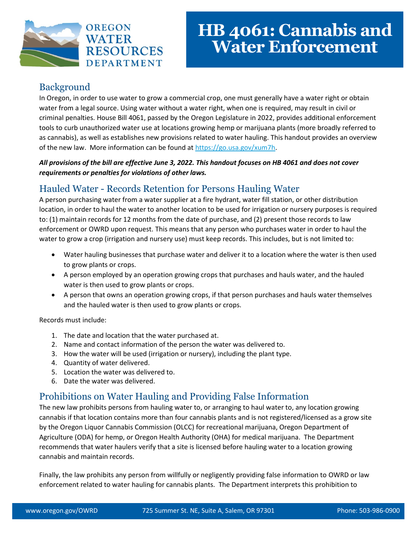

### Background

In Oregon, in order to use water to grow a commercial crop, one must generally have a water right or obtain water from a legal source. Using water without a water right, when one is required, may result in civil or criminal penalties. House Bill 4061, passed by the Oregon Legislature in 2022, provides additional enforcement tools to curb unauthorized water use at locations growing hemp or marijuana plants (more broadly referred to as cannabis), as well as establishes new provisions related to water hauling. This handout provides an overview of the new law. More information can be found a[t https://go.usa.gov/xum7h.](https://go.usa.gov/xum7h)

#### *All provisions of the bill are effective June 3, 2022. This handout focuses on HB 4061 and does not cover requirements or penalties for violations of other laws.*

#### Hauled Water - Records Retention for Persons Hauling Water

A person purchasing water from a water supplier at a fire hydrant, water fill station, or other distribution location, in order to haul the water to another location to be used for irrigation or nursery purposes is required to: (1) maintain records for 12 months from the date of purchase, and (2) present those records to law enforcement or OWRD upon request. This means that any person who purchases water in order to haul the water to grow a crop (irrigation and nursery use) must keep records. This includes, but is not limited to:

- Water hauling businesses that purchase water and deliver it to a location where the water is then used to grow plants or crops.
- A person employed by an operation growing crops that purchases and hauls water, and the hauled water is then used to grow plants or crops.
- A person that owns an operation growing crops, if that person purchases and hauls water themselves and the hauled water is then used to grow plants or crops.

Records must include:

- 1. The date and location that the water purchased at.
- 2. Name and contact information of the person the water was delivered to.
- 3. How the water will be used (irrigation or nursery), including the plant type.
- 4. Quantity of water delivered.
- 5. Location the water was delivered to.
- 6. Date the water was delivered.

#### Prohibitions on Water Hauling and Providing False Information

The new law prohibits persons from hauling water to, or arranging to haul water to, any location growing cannabis if that location contains more than four cannabis plants and is not registered/licensed as a grow site by the Oregon Liquor Cannabis Commission (OLCC) for recreational marijuana, Oregon Department of Agriculture (ODA) for hemp, or Oregon Health Authority (OHA) for medical marijuana. The Department recommends that water haulers verify that a site is licensed before hauling water to a location growing cannabis and maintain records.

Finally, the law prohibits any person from willfully or negligently providing false information to OWRD or law enforcement related to water hauling for cannabis plants. The Department interprets this prohibition to